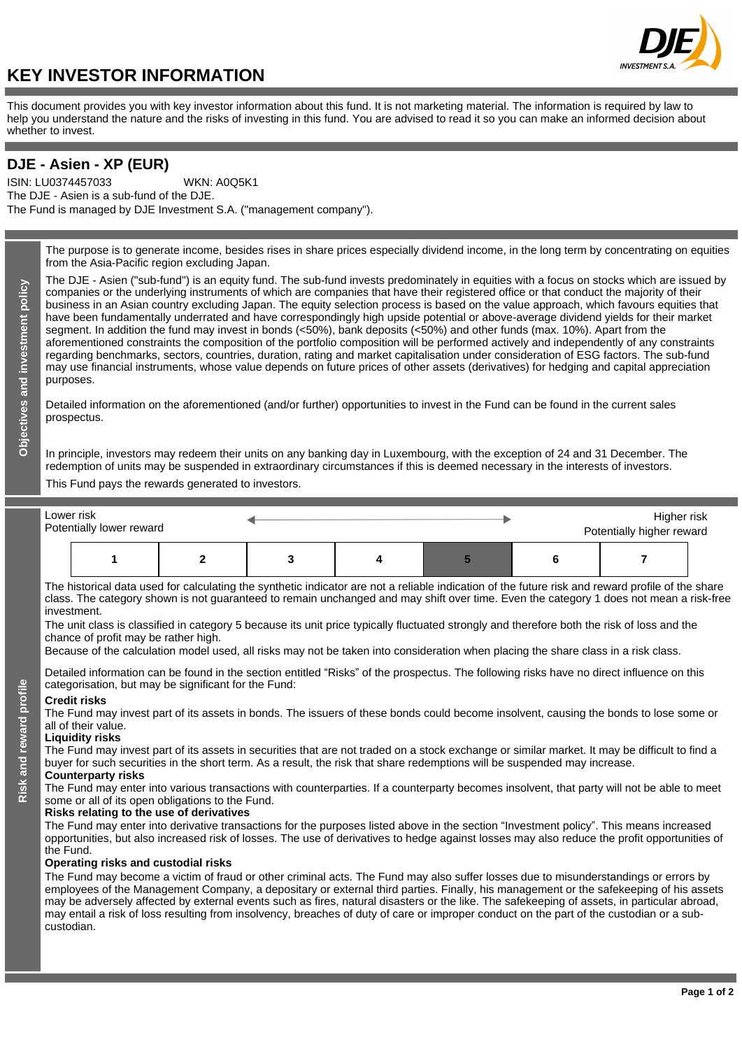# **INVEST**

# **KEY INVESTOR INFORMATION**

This document provides you with key investor information about this fund. It is not marketing material. The information is required by law to help you understand the nature and the risks of investing in this fund. You are advised to read it so you can make an informed decision about whether to invest.

## **DJE - Asien - XP (EUR)**

ISIN: LU0374457033 The DJE - Asien is a sub-fund of the DJE. The Fund is managed by DJE Investment S.A. ("management company"). WKN: A0Q5K1

> The purpose is to generate income, besides rises in share prices especially dividend income, in the long term by concentrating on equities from the Asia-Pacific region excluding Japan.

> The DJE - Asien ("sub-fund") is an equity fund. The sub-fund invests predominately in equities with a focus on stocks which are issued by companies or the underlying instruments of which are companies that have their registered office or that conduct the majority of their business in an Asian country excluding Japan. The equity selection process is based on the value approach, which favours equities that have been fundamentally underrated and have correspondingly high upside potential or above-average dividend yields for their market segment. In addition the fund may invest in bonds (<50%), bank deposits (<50%) and other funds (max. 10%). Apart from the aforementioned constraints the composition of the portfolio composition will be performed actively and independently of any constraints regarding benchmarks, sectors, countries, duration, rating and market capitalisation under consideration of ESG factors. The sub-fund may use financial instruments, whose value depends on future prices of other assets (derivatives) for hedging and capital appreciation purposes.

Detailed information on the aforementioned (and/or further) opportunities to invest in the Fund can be found in the current sales prospectus.

In principle, investors may redeem their units on any banking day in Luxembourg, with the exception of 24 and 31 December. The redemption of units may be suspended in extraordinary circumstances if this is deemed necessary in the interests of investors.

This Fund pays the rewards generated to investors.

| Lower risk<br>Potentially lower reward |  |  |  | Higher risk<br>Potentially higher reward |  |  |  |
|----------------------------------------|--|--|--|------------------------------------------|--|--|--|
|                                        |  |  |  |                                          |  |  |  |

The historical data used for calculating the synthetic indicator are not a reliable indication of the future risk and reward profile of the share class. The category shown is not guaranteed to remain unchanged and may shift over time. Even the category 1 does not mean a risk-free investment.

The unit class is classified in category 5 because its unit price typically fluctuated strongly and therefore both the risk of loss and the chance of profit may be rather high.

Because of the calculation model used, all risks may not be taken into consideration when placing the share class in a risk class.

Detailed information can be found in the section entitled "Risks" of the prospectus. The following risks have no direct influence on this categorisation, but may be significant for the Fund:

#### **Credit risks**

The Fund may invest part of its assets in bonds. The issuers of these bonds could become insolvent, causing the bonds to lose some or all of their value.

#### **Liquidity risks**

The Fund may invest part of its assets in securities that are not traded on a stock exchange or similar market. It may be difficult to find a buyer for such securities in the short term. As a result, the risk that share redemptions will be suspended may increase. **Counterparty risks**

The Fund may enter into various transactions with counterparties. If a counterparty becomes insolvent, that party will not be able to meet some or all of its open obligations to the Fund.

### **Risks relating to the use of derivatives**

The Fund may enter into derivative transactions for the purposes listed above in the section "Investment policy". This means increased opportunities, but also increased risk of losses. The use of derivatives to hedge against losses may also reduce the profit opportunities of the Fund.

#### **Operating risks and custodial risks**

The Fund may become a victim of fraud or other criminal acts. The Fund may also suffer losses due to misunderstandings or errors by employees of the Management Company, a depositary or external third parties. Finally, his management or the safekeeping of his assets may be adversely affected by external events such as fires, natural disasters or the like. The safekeeping of assets, in particular abroad, may entail a risk of loss resulting from insolvency, breaches of duty of care or improper conduct on the part of the custodian or a subcustodian.